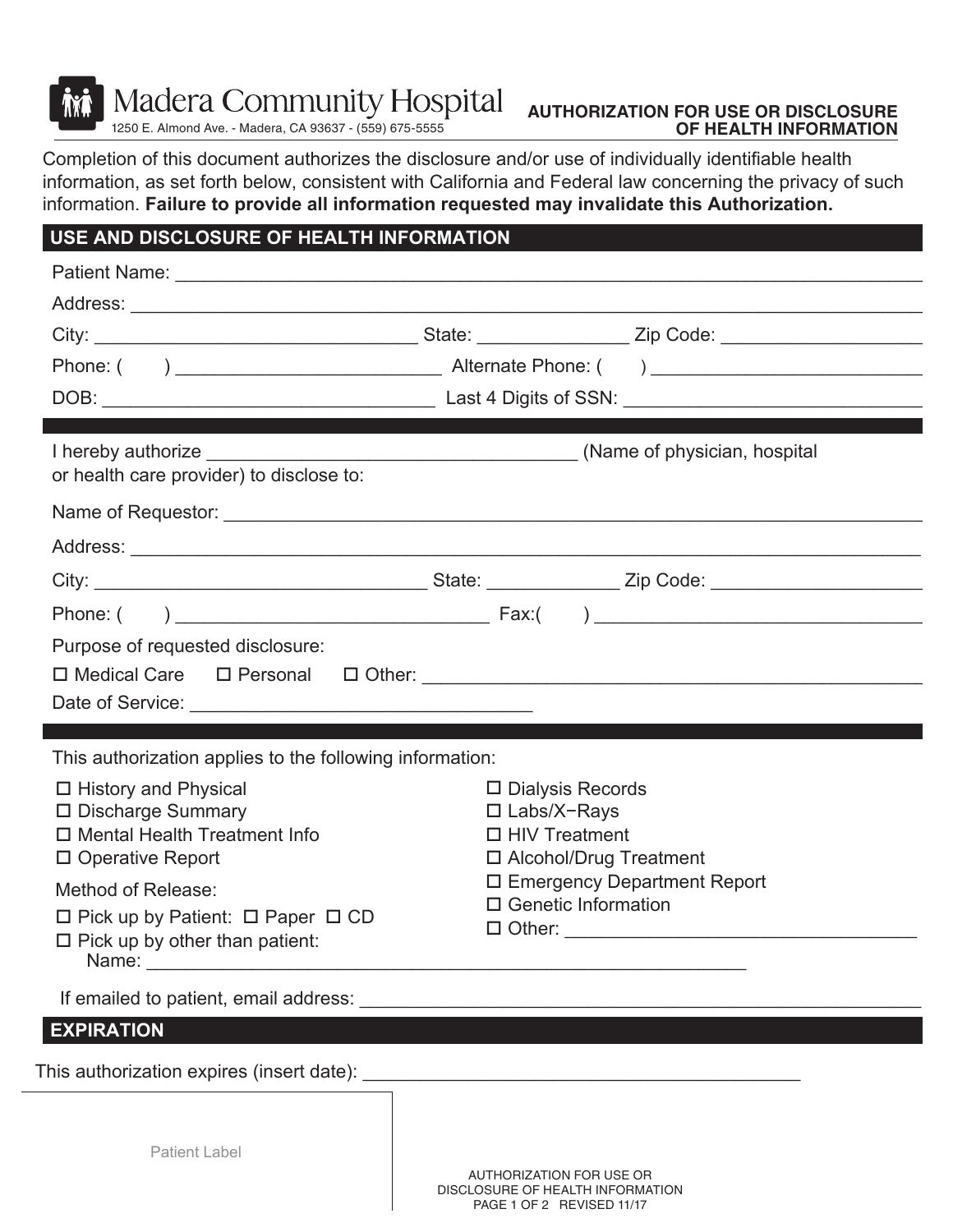**Madera Community Hospital** 

1250 E. Almond Ave. - Madera, CA 93637 - (559) 675-5555

## **AUTHORIZATION FOR USE OR DISCLOSURE OF HEALTH INFORMATION**

Completion of this document authorizes the disclosure and/or use of individually identifiable health information, as set forth below, consistent with California and Federal law concerning the privacy of such information. **Failure to provide all information requested may invalidate this Authorization.**

## **USE AND DISCLOSURE OF HEALTH INFORMATION**

| or health care provider) to disclose to:                                                                                                                                                                                       |                                                             |  |  |  |
|--------------------------------------------------------------------------------------------------------------------------------------------------------------------------------------------------------------------------------|-------------------------------------------------------------|--|--|--|
|                                                                                                                                                                                                                                |                                                             |  |  |  |
|                                                                                                                                                                                                                                |                                                             |  |  |  |
|                                                                                                                                                                                                                                |                                                             |  |  |  |
|                                                                                                                                                                                                                                |                                                             |  |  |  |
| Purpose of requested disclosure:                                                                                                                                                                                               |                                                             |  |  |  |
| This authorization applies to the following information:                                                                                                                                                                       |                                                             |  |  |  |
| $\Box$ History and Physical<br>□ Discharge Summary                                                                                                                                                                             | $\square$ Dialysis Records<br>□ Labs/X-Rays                 |  |  |  |
| $\Box$ Mental Health Treatment Info                                                                                                                                                                                            | $\Box$ HIV Treatment                                        |  |  |  |
| □ Operative Report                                                                                                                                                                                                             | □ Alcohol/Drug Treatment                                    |  |  |  |
| Method of Release:                                                                                                                                                                                                             | □ Emergency Department Report<br>$\Box$ Genetic Information |  |  |  |
| $\Box$ Pick up by Patient: $\Box$ Paper $\Box$ CD<br>$\Box$ Pick up by other than patient:                                                                                                                                     |                                                             |  |  |  |
| If emailed to patient, email address: Latin March 2014 and 2016 and 2017 and 2018 and 2018 and 2018 and 2018 and 2018 and 2018 and 2018 and 2018 and 2018 and 2018 and 2018 and 2018 and 2019 and 2019 and 2019 and 2019 and 2 |                                                             |  |  |  |
| <b>EXPIRATION</b>                                                                                                                                                                                                              |                                                             |  |  |  |
|                                                                                                                                                                                                                                |                                                             |  |  |  |
|                                                                                                                                                                                                                                |                                                             |  |  |  |
|                                                                                                                                                                                                                                |                                                             |  |  |  |
| Patient Label                                                                                                                                                                                                                  |                                                             |  |  |  |